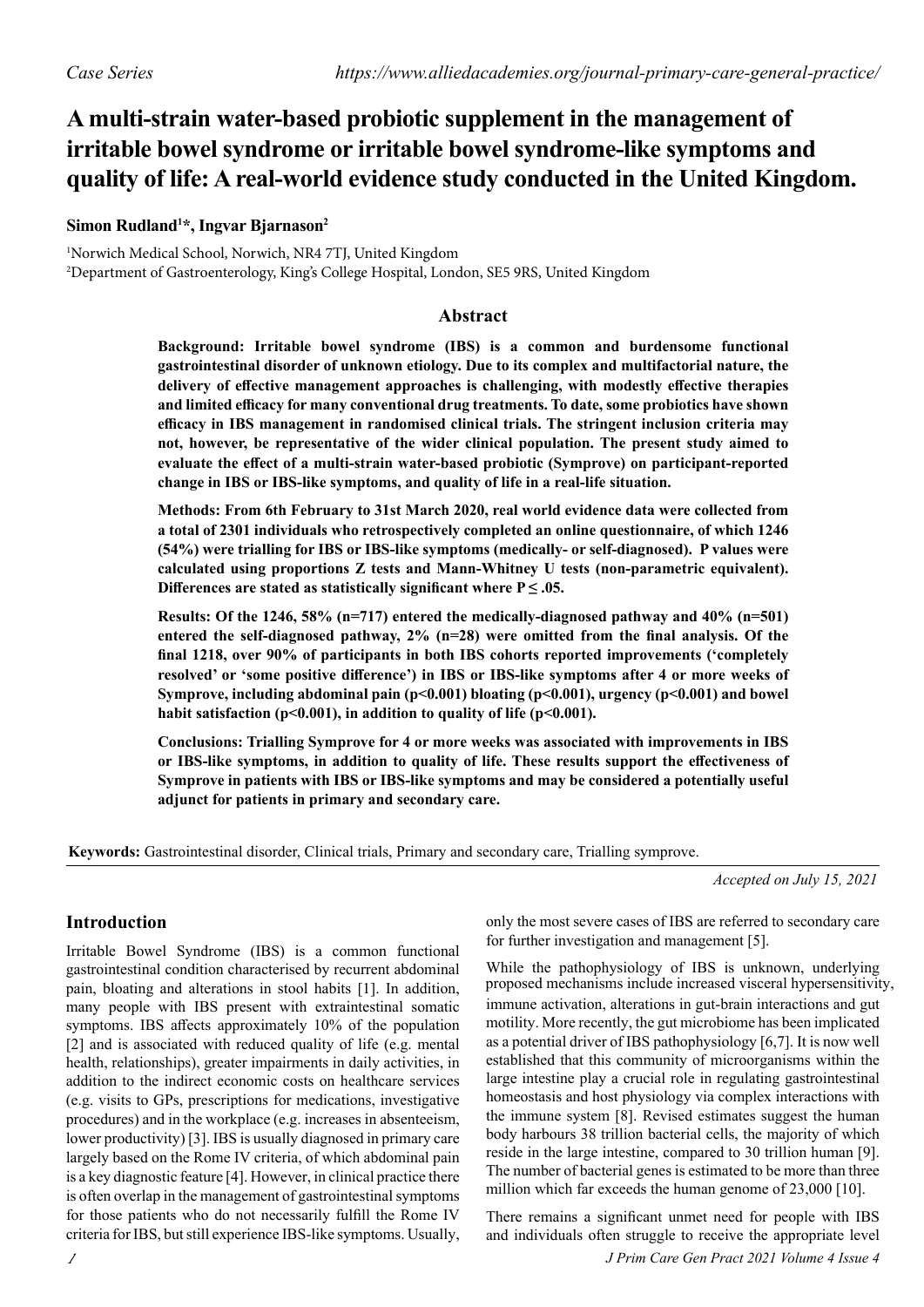# **A multi-strain water-based probiotic supplement in the management of irritable bowel syndrome or irritable bowel syndrome-like symptoms and quality of life: A real-world evidence study conducted in the United Kingdom.**

# **Simon Rudland1 \*, Ingvar Bjarnason2**

1 Norwich Medical School, Norwich, NR4 7TJ, United Kingdom 2 Department of Gastroenterology, King's College Hospital, London, SE5 9RS, United Kingdom

## **Abstract**

**Background: Irritable bowel syndrome (IBS) is a common and burdensome functional gastrointestinal disorder of unknown etiology. Due to its complex and multifactorial nature, the delivery of effective management approaches is challenging, with modestly effective therapies and limited efficacy for many conventional drug treatments. To date, some probiotics have shown efficacy in IBS management in randomised clinical trials. The stringent inclusion criteria may not, however, be representative of the wider clinical population. The present study aimed to evaluate the effect of a multi-strain water-based probiotic (Symprove) on participant-reported change in IBS or IBS-like symptoms, and quality of life in a real-life situation.**

**Methods: From 6th February to 31st March 2020, real world evidence data were collected from a total of 2301 individuals who retrospectively completed an online questionnaire, of which 1246 (54%) were trialling for IBS or IBS-like symptoms (medically- or self-diagnosed). P values were calculated using proportions Z tests and Mann-Whitney U tests (non-parametric equivalent).**  Differences are stated as statistically significant where  $P \leq .05$ .

**Results: Of the 1246, 58% (n=717) entered the medically-diagnosed pathway and 40% (n=501) entered the self-diagnosed pathway, 2% (n=28) were omitted from the final analysis. Of the final 1218, over 90% of participants in both IBS cohorts reported improvements ('completely resolved' or 'some positive difference') in IBS or IBS-like symptoms after 4 or more weeks of Symprove, including abdominal pain (p<0.001) bloating (p<0.001), urgency (p<0.001) and bowel**  habit satisfaction (p<0.001), in addition to quality of life (p<0.001).

**Conclusions: Trialling Symprove for 4 or more weeks was associated with improvements in IBS or IBS-like symptoms, in addition to quality of life. These results support the effectiveness of Symprove in patients with IBS or IBS-like symptoms and may be considered a potentially useful adjunct for patients in primary and secondary care.**

**Keywords:** Gastrointestinal disorder, Clinical trials, Primary and secondary care, Trialling symprove.

*Accepted on July 15, 2021*

# **Introduction**

Irritable Bowel Syndrome (IBS) is a common functional gastrointestinal condition characterised by recurrent abdominal pain, bloating and alterations in stool habits [1]. In addition, many people with IBS present with extraintestinal somatic symptoms. IBS affects approximately 10% of the population [2] and is associated with reduced quality of life (e.g. mental health, relationships), greater impairments in daily activities, in addition to the indirect economic costs on healthcare services (e.g. visits to GPs, prescriptions for medications, investigative procedures) and in the workplace (e.g. increases in absenteeism, lower productivity) [3]. IBS is usually diagnosed in primary care largely based on the Rome IV criteria, of which abdominal pain is a key diagnostic feature [4]. However, in clinical practice there is often overlap in the management of gastrointestinal symptoms for those patients who do not necessarily fulfill the Rome IV criteria for IBS, but still experience IBS-like symptoms. Usually,

*1*

only the most severe cases of IBS are referred to secondary care for further investigation and management [5].

While the pathophysiology of IBS is unknown, underlying immune activation, alterations in gut-brain interactions and gut motility. More recently, the gut microbiome has been implicated as a potential driver of IBS pathophysiology [6,7]. It is now well established that this community of microorganisms within the large intestine play a crucial role in regulating gastrointestinal homeostasis and host physiology via complex interactions with the immune system [8]. Revised estimates suggest the human body harbours 38 trillion bacterial cells, the majority of which reside in the large intestine, compared to 30 trillion human [9]. The number of bacterial genes is estimated to be more than three million which far exceeds the human genome of 23,000 [10]. proposed mechanisms include increased visceral hypersensitivity,

There remains a significant unmet need for people with IBS and individuals often struggle to receive the appropriate level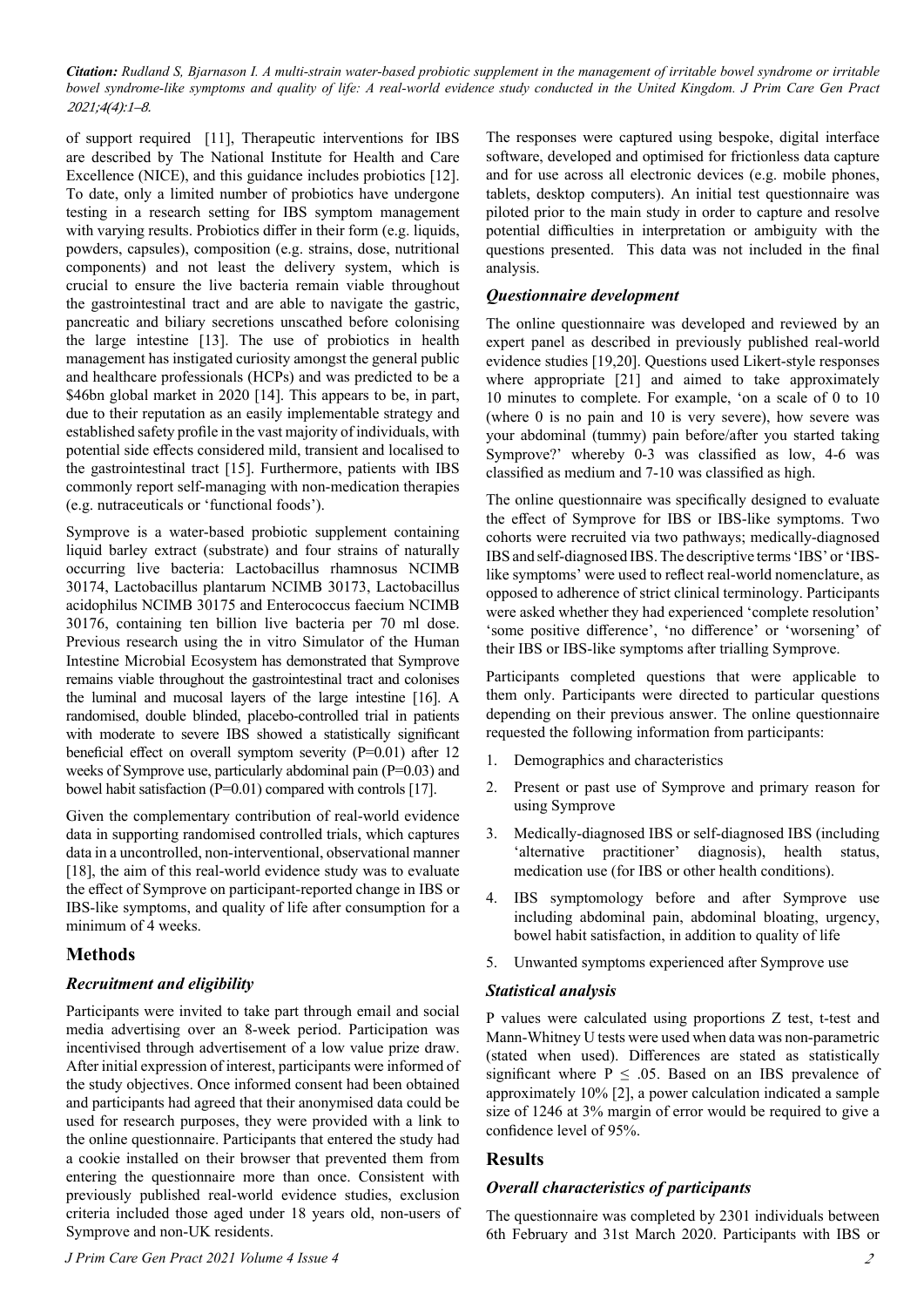of support required [11], Therapeutic interventions for IBS are described by The National Institute for Health and Care Excellence (NICE), and this guidance includes probiotics [12]. To date, only a limited number of probiotics have undergone testing in a research setting for IBS symptom management with varying results. Probiotics differ in their form (e.g. liquids, powders, capsules), composition (e.g. strains, dose, nutritional components) and not least the delivery system, which is crucial to ensure the live bacteria remain viable throughout the gastrointestinal tract and are able to navigate the gastric, pancreatic and biliary secretions unscathed before colonising the large intestine [13]. The use of probiotics in health management has instigated curiosity amongst the general public and healthcare professionals (HCPs) and was predicted to be a \$46bn global market in 2020 [14]. This appears to be, in part, due to their reputation as an easily implementable strategy and established safety profile in the vast majority of individuals, with potential side effects considered mild, transient and localised to the gastrointestinal tract [15]. Furthermore, patients with IBS commonly report self-managing with non-medication therapies (e.g. nutraceuticals or 'functional foods').

Symprove is a water-based probiotic supplement containing liquid barley extract (substrate) and four strains of naturally occurring live bacteria: Lactobacillus rhamnosus NCIMB 30174, Lactobacillus plantarum NCIMB 30173, Lactobacillus acidophilus NCIMB 30175 and Enterococcus faecium NCIMB 30176, containing ten billion live bacteria per 70 ml dose. Previous research using the in vitro Simulator of the Human Intestine Microbial Ecosystem has demonstrated that Symprove remains viable throughout the gastrointestinal tract and colonises the luminal and mucosal layers of the large intestine [16]. A randomised, double blinded, placebo-controlled trial in patients with moderate to severe IBS showed a statistically significant beneficial effect on overall symptom severity (P=0.01) after 12 weeks of Symprove use, particularly abdominal pain (P=0.03) and bowel habit satisfaction (P=0.01) compared with controls [17].

Given the complementary contribution of real-world evidence data in supporting randomised controlled trials, which captures data in a uncontrolled, non-interventional, observational manner [18], the aim of this real-world evidence study was to evaluate the effect of Symprove on participant-reported change in IBS or IBS-like symptoms, and quality of life after consumption for a minimum of 4 weeks.

# **Methods**

## *Recruitment and eligibility*

Participants were invited to take part through email and social media advertising over an 8-week period. Participation was incentivised through advertisement of a low value prize draw. After initial expression of interest, participants were informed of the study objectives. Once informed consent had been obtained and participants had agreed that their anonymised data could be used for research purposes, they were provided with a link to the online questionnaire. Participants that entered the study had a cookie installed on their browser that prevented them from entering the questionnaire more than once. Consistent with previously published real-world evidence studies, exclusion criteria included those aged under 18 years old, non-users of Symprove and non-UK residents.

The responses were captured using bespoke, digital interface software, developed and optimised for frictionless data capture and for use across all electronic devices (e.g. mobile phones, tablets, desktop computers). An initial test questionnaire was piloted prior to the main study in order to capture and resolve potential difficulties in interpretation or ambiguity with the questions presented. This data was not included in the final analysis.

## *Questionnaire development*

The online questionnaire was developed and reviewed by an expert panel as described in previously published real-world evidence studies [19,20]. Questions used Likert-style responses where appropriate [21] and aimed to take approximately 10 minutes to complete. For example, 'on a scale of 0 to 10 (where 0 is no pain and 10 is very severe), how severe was your abdominal (tummy) pain before/after you started taking Symprove?' whereby 0-3 was classified as low, 4-6 was classified as medium and 7-10 was classified as high.

The online questionnaire was specifically designed to evaluate the effect of Symprove for IBS or IBS-like symptoms. Two cohorts were recruited via two pathways; medically-diagnosed IBS and self-diagnosed IBS. The descriptive terms 'IBS' or 'IBSlike symptoms' were used to reflect real-world nomenclature, as opposed to adherence of strict clinical terminology. Participants were asked whether they had experienced 'complete resolution' 'some positive difference', 'no difference' or 'worsening' of their IBS or IBS-like symptoms after trialling Symprove.

Participants completed questions that were applicable to them only. Participants were directed to particular questions depending on their previous answer. The online questionnaire requested the following information from participants:

- 1. Demographics and characteristics
- 2. Present or past use of Symprove and primary reason for using Symprove
- 3. Medically-diagnosed IBS or self-diagnosed IBS (including 'alternative practitioner' diagnosis), health status, medication use (for IBS or other health conditions).
- 4. IBS symptomology before and after Symprove use including abdominal pain, abdominal bloating, urgency, bowel habit satisfaction, in addition to quality of life
- 5. Unwanted symptoms experienced after Symprove use

## *Statistical analysis*

P values were calculated using proportions Z test, t-test and Mann-Whitney U tests were used when data was non-parametric (stated when used). Differences are stated as statistically significant where  $P \leq .05$ . Based on an IBS prevalence of approximately 10% [2], a power calculation indicated a sample size of 1246 at 3% margin of error would be required to give a confidence level of 95%.

# **Results**

## *Overall characteristics of participants*

The questionnaire was completed by 2301 individuals between 6th February and 31st March 2020. Participants with IBS or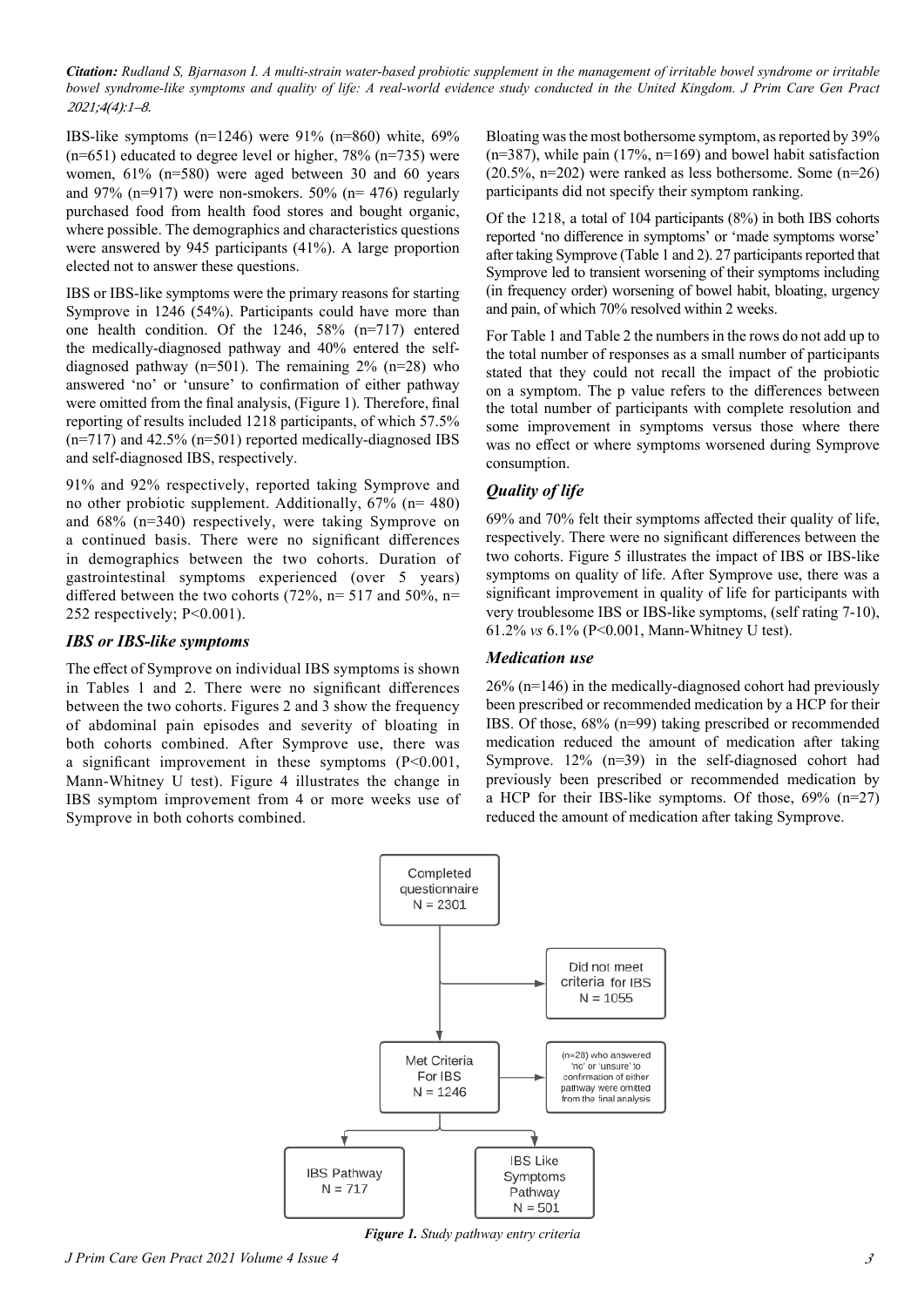IBS-like symptoms (n=1246) were  $91\%$  (n=860) white, 69%  $(n=651)$  educated to degree level or higher, 78%  $(n=735)$  were women, 61% (n=580) were aged between 30 and 60 years and 97% (n=917) were non-smokers. 50% (n= 476) regularly purchased food from health food stores and bought organic, where possible. The demographics and characteristics questions were answered by 945 participants (41%). A large proportion elected not to answer these questions.

IBS or IBS-like symptoms were the primary reasons for starting Symprove in 1246 (54%). Participants could have more than one health condition. Of the 1246, 58% (n=717) entered the medically-diagnosed pathway and 40% entered the selfdiagnosed pathway (n=501). The remaining  $2\%$  (n=28) who answered 'no' or 'unsure' to confirmation of either pathway were omitted from the final analysis, (Figure 1). Therefore, final reporting of results included 1218 participants, of which 57.5%  $(n=717)$  and 42.5%  $(n=501)$  reported medically-diagnosed IBS and self-diagnosed IBS, respectively.

91% and 92% respectively, reported taking Symprove and no other probiotic supplement. Additionally, 67% (n= 480) and 68% (n=340) respectively, were taking Symprove on a continued basis. There were no significant differences in demographics between the two cohorts. Duration of gastrointestinal symptoms experienced (over 5 years) differed between the two cohorts (72%,  $n=$  517 and 50%,  $n=$ 252 respectively; P<0.001).

#### *IBS or IBS-like symptoms*

The effect of Symprove on individual IBS symptoms is shown in Tables 1 and 2. There were no significant differences between the two cohorts. Figures 2 and 3 show the frequency of abdominal pain episodes and severity of bloating in both cohorts combined. After Symprove use, there was a significant improvement in these symptoms  $(P<0.001$ , Mann-Whitney U test). Figure 4 illustrates the change in IBS symptom improvement from 4 or more weeks use of Symprove in both cohorts combined.

Bloating was the most bothersome symptom, as reported by 39%  $(n=387)$ , while pain (17%, n=169) and bowel habit satisfaction  $(20.5\%, n=202)$  were ranked as less bothersome. Some  $(n=26)$ participants did not specify their symptom ranking.

Of the 1218, a total of 104 participants (8%) in both IBS cohorts reported 'no difference in symptoms' or 'made symptoms worse' after taking Symprove (Table 1 and 2). 27 participants reported that Symprove led to transient worsening of their symptoms including (in frequency order) worsening of bowel habit, bloating, urgency and pain, of which 70% resolved within 2 weeks.

For Table 1 and Table 2 the numbers in the rows do not add up to the total number of responses as a small number of participants stated that they could not recall the impact of the probiotic on a symptom. The p value refers to the differences between the total number of participants with complete resolution and some improvement in symptoms versus those where there was no effect or where symptoms worsened during Symprove consumption.

# *Quality of life*

69% and 70% felt their symptoms affected their quality of life, respectively. There were no significant differences between the two cohorts. Figure 5 illustrates the impact of IBS or IBS-like symptoms on quality of life. After Symprove use, there was a significant improvement in quality of life for participants with very troublesome IBS or IBS-like symptoms, (self rating 7-10), 61.2% *vs* 6.1% (P<0.001, Mann-Whitney U test).

## *Medication use*

26% (n=146) in the medically-diagnosed cohort had previously been prescribed or recommended medication by a HCP for their IBS. Of those, 68% (n=99) taking prescribed or recommended medication reduced the amount of medication after taking Symprove. 12% (n=39) in the self-diagnosed cohort had previously been prescribed or recommended medication by a HCP for their IBS-like symptoms. Of those,  $69\%$  (n=27) reduced the amount of medication after taking Symprove.



*Figure 1. Study pathway entry criteria*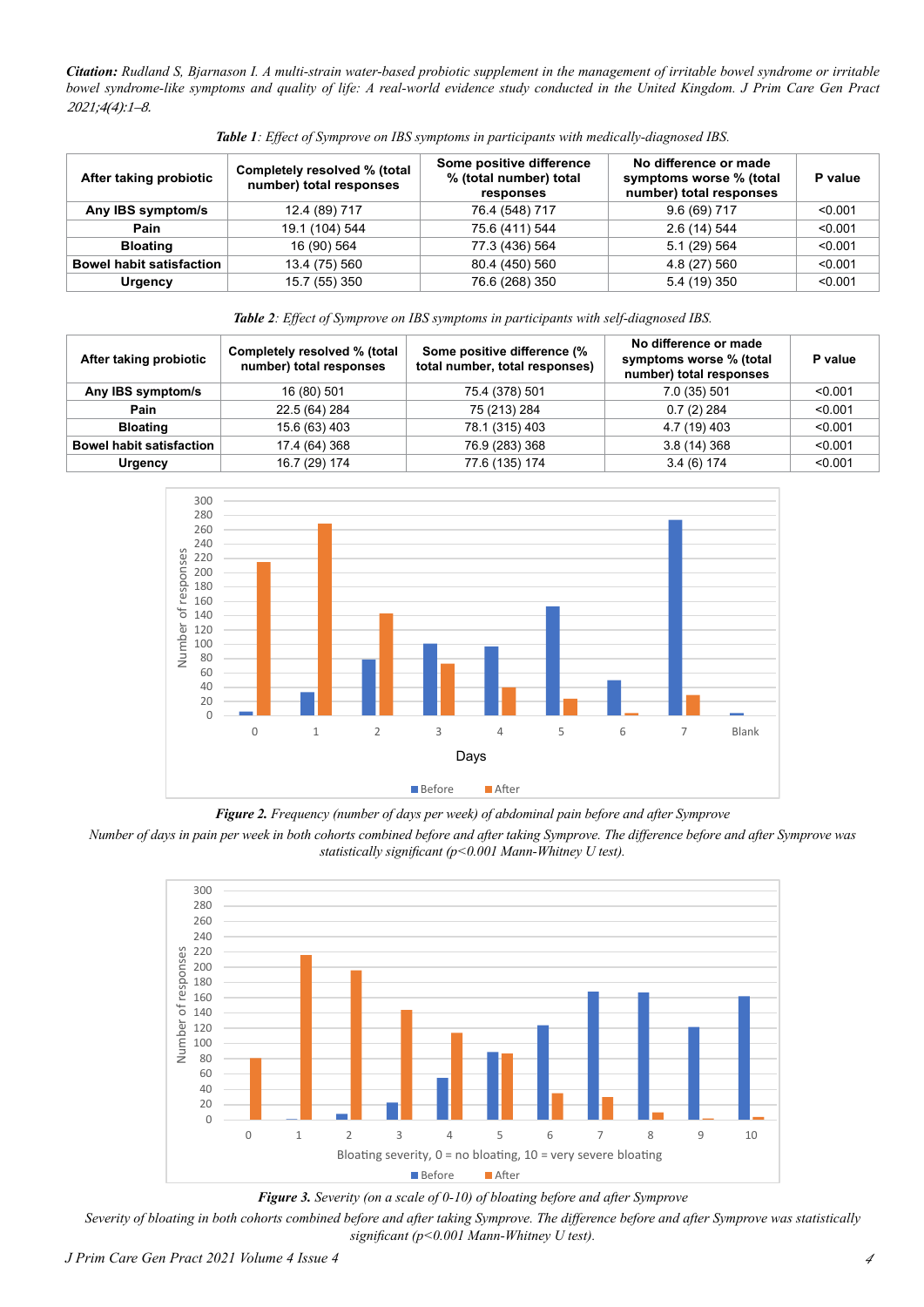| After taking probiotic          | Completely resolved % (total<br>number) total responses | Some positive difference<br>% (total number) total<br>responses | No difference or made<br>symptoms worse % (total<br>number) total responses | P value |
|---------------------------------|---------------------------------------------------------|-----------------------------------------------------------------|-----------------------------------------------------------------------------|---------|
| Any IBS symptom/s               | 12.4 (89) 717                                           | 76.4 (548) 717                                                  | $9.6(69)$ 717                                                               | < 0.001 |
| Pain                            | 19.1 (104) 544                                          | 75.6 (411) 544                                                  | 2.6 (14) 544                                                                | < 0.001 |
| <b>Bloating</b>                 | 16 (90) 564                                             | 77.3 (436) 564                                                  | 5.1 (29) 564                                                                | < 0.001 |
| <b>Bowel habit satisfaction</b> | 13.4 (75) 560                                           | 80.4 (450) 560                                                  | 4.8 (27) 560                                                                | < 0.001 |
| Urgency                         | 15.7 (55) 350                                           | 76.6 (268) 350                                                  | 5.4 (19) 350                                                                | < 0.001 |

*Table 1: Effect of Symprove on IBS symptoms in participants with medically-diagnosed IBS.*

*Table 2: Effect of Symprove on IBS symptoms in participants with self-diagnosed IBS.*

| After taking probiotic          | Completely resolved % (total<br>number) total responses | Some positive difference (%<br>total number, total responses) | No difference or made<br>symptoms worse % (total<br>number) total responses | P value |
|---------------------------------|---------------------------------------------------------|---------------------------------------------------------------|-----------------------------------------------------------------------------|---------|
| Any IBS symptom/s               | 16 (80) 501                                             | 75.4 (378) 501                                                | 7.0 (35) 501                                                                | < 0.001 |
| Pain                            | 22.5 (64) 284                                           | 75 (213) 284                                                  | $0.7(2)$ 284                                                                | < 0.001 |
| <b>Bloating</b>                 | 15.6 (63) 403                                           | 78.1 (315) 403                                                | 4.7 (19) 403                                                                | < 0.001 |
| <b>Bowel habit satisfaction</b> | 17.4 (64) 368                                           | 76.9 (283) 368                                                | 3.8(14)368                                                                  | < 0.001 |
| Urgency                         | 16.7 (29) 174                                           | 77.6 (135) 174                                                | 3.4(6)174                                                                   | < 0.001 |



*Figure 2. Frequency (number of days per week) of abdominal pain before and after Symprove*

*Number of days in pain per week in both cohorts combined before and after taking Symprove. The difference before and after Symprove was statistically significant (p<0.001 Mann-Whitney U test).*



*Figure 3. Severity (on a scale of 0-10) of bloating before and after Symprove*

*Severity of bloating in both cohorts combined before and after taking Symprove. The difference before and after Symprove was statistically significant (p<0.001 Mann-Whitney U test).*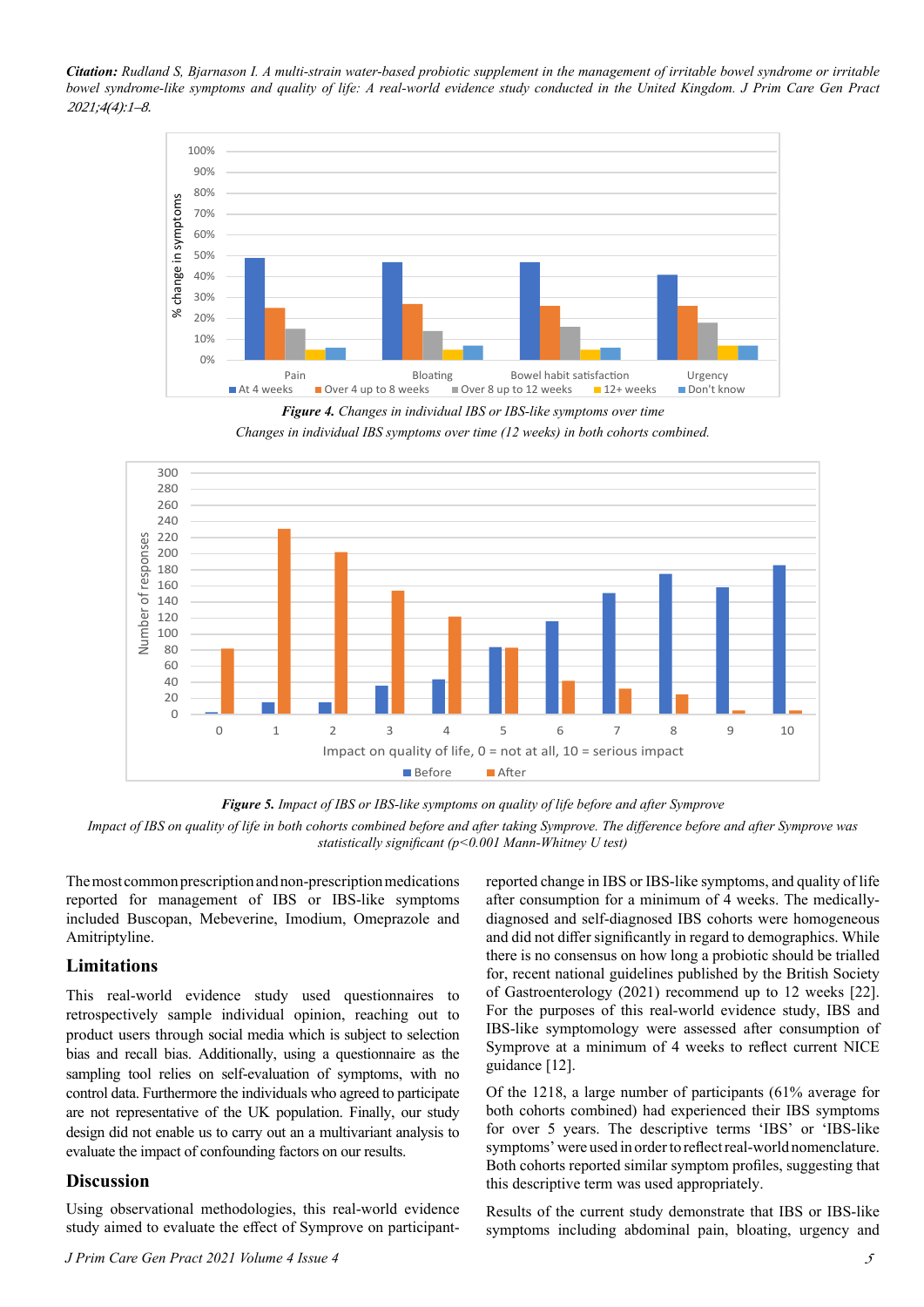



*Changes in individual IBS symptoms over time (12 weeks) in both cohorts combined.*





*Impact of IBS on quality of life in both cohorts combined before and after taking Symprove. The difference before and after Symprove was statistically significant (p<0.001 Mann-Whitney U test)*

The most common prescription and non-prescription medications reported for management of IBS or IBS-like symptoms included Buscopan, Mebeverine, Imodium, Omeprazole and Amitriptyline.

## **Limitations**

This real-world evidence study used questionnaires to retrospectively sample individual opinion, reaching out to product users through social media which is subject to selection bias and recall bias. Additionally, using a questionnaire as the sampling tool relies on self-evaluation of symptoms, with no control data. Furthermore the individuals who agreed to participate are not representative of the UK population. Finally, our study design did not enable us to carry out an a multivariant analysis to evaluate the impact of confounding factors on our results.

#### **Discussion**

Using observational methodologies, this real-world evidence study aimed to evaluate the effect of Symprove on participant-

*J Prim Care Gen Pract 2021 Volume 4 Issue 4*

reported change in IBS or IBS-like symptoms, and quality of life after consumption for a minimum of 4 weeks. The medicallydiagnosed and self-diagnosed IBS cohorts were homogeneous and did not differ significantly in regard to demographics. While there is no consensus on how long a probiotic should be trialled for, recent national guidelines published by the British Society of Gastroenterology (2021) recommend up to 12 weeks [22]. For the purposes of this real-world evidence study, IBS and IBS-like symptomology were assessed after consumption of Symprove at a minimum of 4 weeks to reflect current NICE guidance [12].

Of the 1218, a large number of participants (61% average for both cohorts combined) had experienced their IBS symptoms for over 5 years. The descriptive terms 'IBS' or 'IBS-like symptoms' were used in order to reflect real-world nomenclature. Both cohorts reported similar symptom profiles, suggesting that this descriptive term was used appropriately.

Results of the current study demonstrate that IBS or IBS-like symptoms including abdominal pain, bloating, urgency and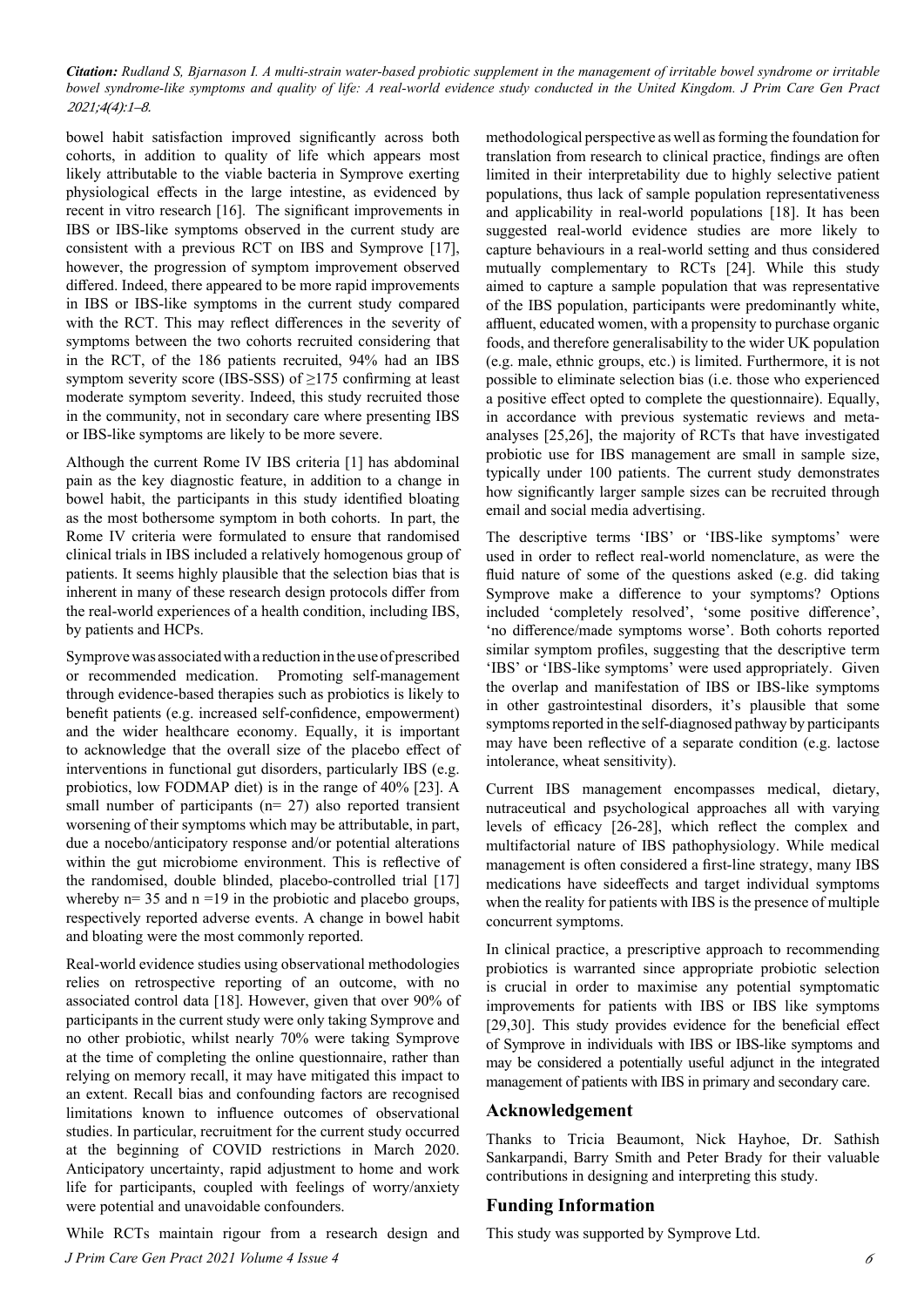bowel habit satisfaction improved significantly across both cohorts, in addition to quality of life which appears most likely attributable to the viable bacteria in Symprove exerting physiological effects in the large intestine, as evidenced by recent in vitro research [16]. The significant improvements in IBS or IBS-like symptoms observed in the current study are consistent with a previous RCT on IBS and Symprove [17], however, the progression of symptom improvement observed differed. Indeed, there appeared to be more rapid improvements in IBS or IBS-like symptoms in the current study compared with the RCT. This may reflect differences in the severity of symptoms between the two cohorts recruited considering that in the RCT, of the 186 patients recruited, 94% had an IBS symptom severity score (IBS-SSS) of ≥175 confirming at least moderate symptom severity. Indeed, this study recruited those in the community, not in secondary care where presenting IBS or IBS-like symptoms are likely to be more severe.

Although the current Rome IV IBS criteria [1] has abdominal pain as the key diagnostic feature, in addition to a change in bowel habit, the participants in this study identified bloating as the most bothersome symptom in both cohorts. In part, the Rome IV criteria were formulated to ensure that randomised clinical trials in IBS included a relatively homogenous group of patients. It seems highly plausible that the selection bias that is inherent in many of these research design protocols differ from the real-world experiences of a health condition, including IBS, by patients and HCPs.

Symprove was associated with a reduction in the use of prescribed or recommended medication. Promoting self-management through evidence-based therapies such as probiotics is likely to benefit patients (e.g. increased self-confidence, empowerment) and the wider healthcare economy. Equally, it is important to acknowledge that the overall size of the placebo effect of interventions in functional gut disorders, particularly IBS (e.g. probiotics, low FODMAP diet) is in the range of 40% [23]. A small number of participants (n= 27) also reported transient worsening of their symptoms which may be attributable, in part, due a nocebo/anticipatory response and/or potential alterations within the gut microbiome environment. This is reflective of the randomised, double blinded, placebo-controlled trial [17] whereby  $n= 35$  and  $n = 19$  in the probiotic and placebo groups, respectively reported adverse events. A change in bowel habit and bloating were the most commonly reported.

Real-world evidence studies using observational methodologies relies on retrospective reporting of an outcome, with no associated control data [18]. However, given that over 90% of participants in the current study were only taking Symprove and no other probiotic, whilst nearly 70% were taking Symprove at the time of completing the online questionnaire, rather than relying on memory recall, it may have mitigated this impact to an extent. Recall bias and confounding factors are recognised limitations known to influence outcomes of observational studies. In particular, recruitment for the current study occurred at the beginning of COVID restrictions in March 2020. Anticipatory uncertainty, rapid adjustment to home and work life for participants, coupled with feelings of worry/anxiety were potential and unavoidable confounders.

*J Prim Care Gen Pract 2021 Volume 4 Issue 4* While RCTs maintain rigour from a research design and methodological perspective as well as forming the foundation for translation from research to clinical practice, findings are often limited in their interpretability due to highly selective patient populations, thus lack of sample population representativeness and applicability in real-world populations [18]. It has been suggested real-world evidence studies are more likely to capture behaviours in a real-world setting and thus considered mutually complementary to RCTs [24]. While this study aimed to capture a sample population that was representative of the IBS population, participants were predominantly white, affluent, educated women, with a propensity to purchase organic foods, and therefore generalisability to the wider UK population (e.g. male, ethnic groups, etc.) is limited. Furthermore, it is not possible to eliminate selection bias (i.e. those who experienced a positive effect opted to complete the questionnaire). Equally, in accordance with previous systematic reviews and metaanalyses [25,26], the majority of RCTs that have investigated probiotic use for IBS management are small in sample size, typically under 100 patients. The current study demonstrates how significantly larger sample sizes can be recruited through email and social media advertising.

The descriptive terms 'IBS' or 'IBS-like symptoms' were used in order to reflect real-world nomenclature, as were the fluid nature of some of the questions asked (e.g. did taking Symprove make a difference to your symptoms? Options included 'completely resolved', 'some positive difference', 'no difference/made symptoms worse'. Both cohorts reported similar symptom profiles, suggesting that the descriptive term 'IBS' or 'IBS-like symptoms' were used appropriately. Given the overlap and manifestation of IBS or IBS-like symptoms in other gastrointestinal disorders, it's plausible that some symptoms reported in the self-diagnosed pathway by participants may have been reflective of a separate condition (e.g. lactose intolerance, wheat sensitivity).

Current IBS management encompasses medical, dietary, nutraceutical and psychological approaches all with varying levels of efficacy [26-28], which reflect the complex and multifactorial nature of IBS pathophysiology. While medical management is often considered a first-line strategy, many IBS medications have sideeffects and target individual symptoms when the reality for patients with IBS is the presence of multiple concurrent symptoms.

In clinical practice, a prescriptive approach to recommending probiotics is warranted since appropriate probiotic selection is crucial in order to maximise any potential symptomatic improvements for patients with IBS or IBS like symptoms [29,30]. This study provides evidence for the beneficial effect of Symprove in individuals with IBS or IBS-like symptoms and may be considered a potentially useful adjunct in the integrated management of patients with IBS in primary and secondary care.

#### **Acknowledgement**

Thanks to Tricia Beaumont, Nick Hayhoe, Dr. Sathish Sankarpandi, Barry Smith and Peter Brady for their valuable contributions in designing and interpreting this study.

## **Funding Information**

This study was supported by Symprove Ltd.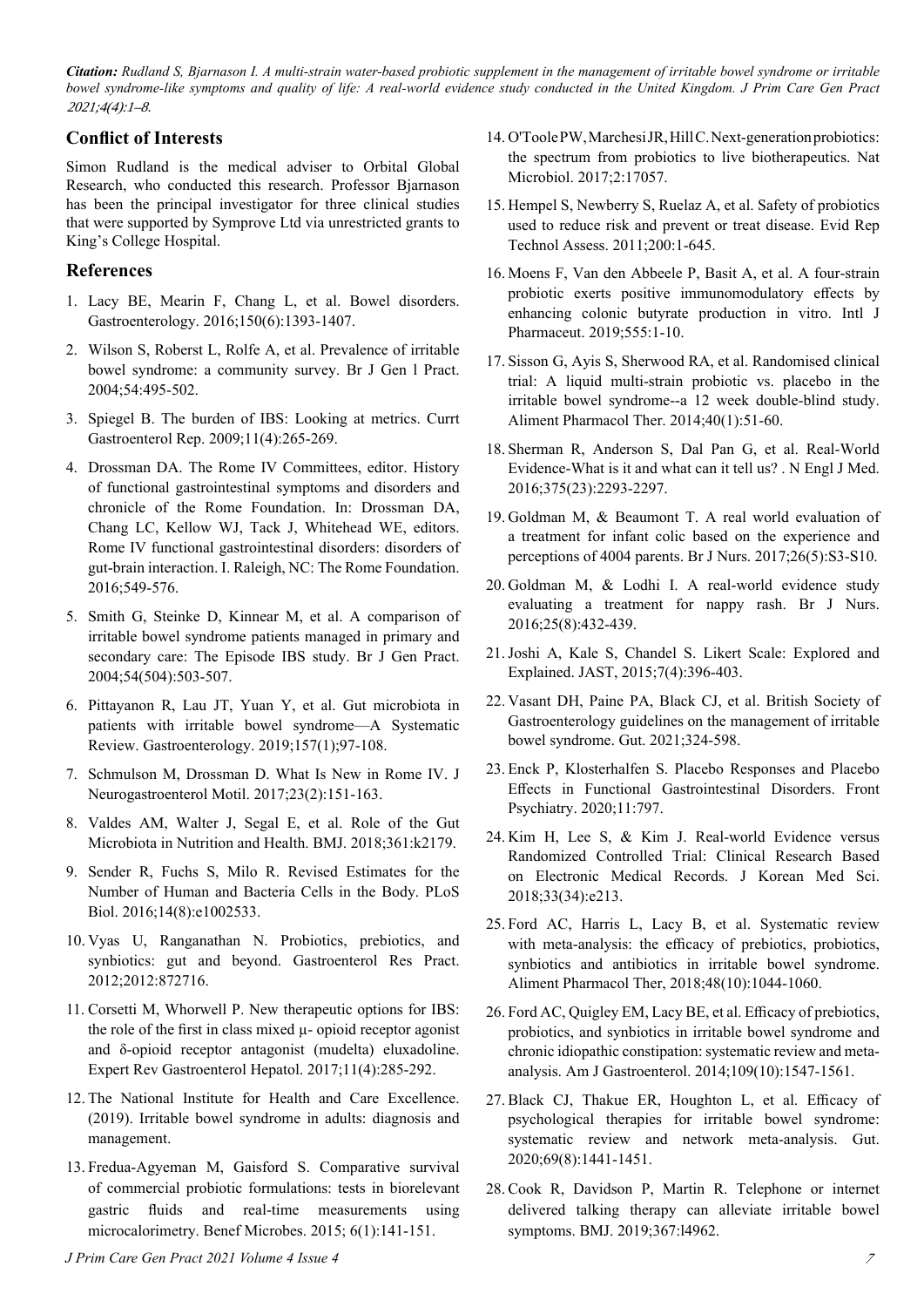## **Conflict of Interests**

Simon Rudland is the medical adviser to Orbital Global Research, who conducted this research. Professor Bjarnason has been the principal investigator for three clinical studies that were supported by Symprove Ltd via unrestricted grants to King's College Hospital.

#### **References**

- 1. Lacy BE, Mearin F, Chang L, et al. Bowel disorders. Gastroenterology. 2016;150(6):1393-1407.
- 2. Wilson S, Roberst L, Rolfe A, et al. Prevalence of irritable bowel syndrome: a community survey. Br J Gen l Pract. 2004;54:495-502.
- 3. Spiegel B. The burden of IBS: Looking at metrics. Currt Gastroenterol Rep. 2009;11(4):265-269.
- 4. Drossman DA. The Rome IV Committees, editor. History of functional gastrointestinal symptoms and disorders and chronicle of the Rome Foundation. In: Drossman DA, Chang LC, Kellow WJ, Tack J, Whitehead WE, editors. Rome IV functional gastrointestinal disorders: disorders of gut-brain interaction. I. Raleigh, NC: The Rome Foundation. 2016;549-576.
- 5. Smith G, Steinke D, Kinnear M, et al. A comparison of irritable bowel syndrome patients managed in primary and secondary care: The Episode IBS study. Br J Gen Pract. 2004;54(504):503-507.
- 6. Pittayanon R, Lau JT, Yuan Y, et al. Gut microbiota in patients with irritable bowel syndrome—A Systematic Review. Gastroenterology. 2019;157(1);97-108.
- 7. Schmulson M, Drossman D. What Is New in Rome IV. J Neurogastroenterol Motil. 2017;23(2):151-163.
- 8. Valdes AM, Walter J, Segal E, et al. Role of the Gut Microbiota in Nutrition and Health. BMJ. 2018;361:k2179.
- 9. Sender R, Fuchs S, Milo R. Revised Estimates for the Number of Human and Bacteria Cells in the Body. PLoS Biol. 2016;14(8):e1002533.
- 10. Vyas U, Ranganathan N. Probiotics, prebiotics, and synbiotics: gut and beyond. Gastroenterol Res Pract. 2012;2012:872716.
- 11. Corsetti M, Whorwell P. New therapeutic options for IBS: the role of the first in class mixed µ- opioid receptor agonist and δ-opioid receptor antagonist (mudelta) eluxadoline. Expert Rev Gastroenterol Hepatol. 2017;11(4):285-292.
- 12. The National Institute for Health and Care Excellence. (2019). Irritable bowel syndrome in adults: diagnosis and management.
- 13. Fredua-Agyeman M, Gaisford S. Comparative survival of commercial probiotic formulations: tests in biorelevant gastric fluids and real-time measurements using microcalorimetry. Benef Microbes. 2015; 6(1):141-151.

#### *J Prim Care Gen Pract 2021 Volume 4 Issue 4*

- 14. O'Toole PW, Marchesi JR, Hill C. Next-generation probiotics: the spectrum from probiotics to live biotherapeutics. Nat Microbiol. 2017;2:17057.
- 15. Hempel S, Newberry S, Ruelaz A, et al. Safety of probiotics used to reduce risk and prevent or treat disease. Evid Rep Technol Assess. 2011;200:1-645.
- 16. Moens F, Van den Abbeele P, Basit A, et al. A four-strain probiotic exerts positive immunomodulatory effects by enhancing colonic butyrate production in vitro. Intl J Pharmaceut. 2019;555:1-10.
- 17. Sisson G, Ayis S, Sherwood RA, et al. Randomised clinical trial: A liquid multi-strain probiotic vs. placebo in the irritable bowel syndrome--a 12 week double-blind study. Aliment Pharmacol Ther. 2014;40(1):51-60.
- 18. Sherman R, Anderson S, Dal Pan G, et al. Real-World Evidence-What is it and what can it tell us? . N Engl J Med. 2016;375(23):2293-2297.
- 19. Goldman M, & Beaumont T. A real world evaluation of a treatment for infant colic based on the experience and perceptions of 4004 parents. Br J Nurs. 2017;26(5):S3-S10.
- 20. Goldman M, & Lodhi I. A real-world evidence study evaluating a treatment for nappy rash. Br J Nurs. 2016;25(8):432-439.
- 21.Joshi A, Kale S, Chandel S. Likert Scale: Explored and Explained. JAST, 2015;7(4):396-403.
- 22. Vasant DH, Paine PA, Black CJ, et al. British Society of Gastroenterology guidelines on the management of irritable bowel syndrome. Gut. 2021;324-598.
- 23. Enck P, Klosterhalfen S. Placebo Responses and Placebo Effects in Functional Gastrointestinal Disorders. Front Psychiatry. 2020;11:797.
- 24. Kim H, Lee S, & Kim J. Real-world Evidence versus Randomized Controlled Trial: Clinical Research Based on Electronic Medical Records. J Korean Med Sci. 2018;33(34):e213.
- 25. Ford AC, Harris L, Lacy B, et al. Systematic review with meta-analysis: the efficacy of prebiotics, probiotics, synbiotics and antibiotics in irritable bowel syndrome. Aliment Pharmacol Ther, 2018;48(10):1044-1060.
- 26. Ford AC, Quigley EM, Lacy BE, et al. Efficacy of prebiotics, probiotics, and synbiotics in irritable bowel syndrome and chronic idiopathic constipation: systematic review and metaanalysis. Am J Gastroenterol. 2014;109(10):1547-1561.
- 27. Black CJ, Thakue ER, Houghton L, et al. Efficacy of psychological therapies for irritable bowel syndrome: systematic review and network meta-analysis. Gut. 2020;69(8):1441-1451.
- 28. Cook R, Davidson P, Martin R. Telephone or internet delivered talking therapy can alleviate irritable bowel symptoms. BMJ. 2019;367:l4962.